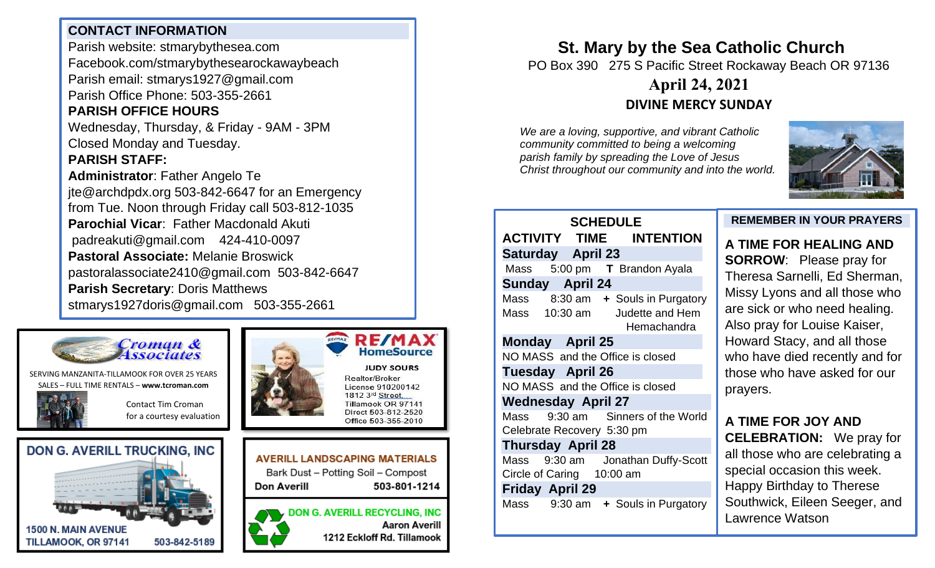## **CONTACT INFORMATION**

Parish website: stmarybythesea.com Facebook.com/stmarybythesearockawaybeach Parish email: stmarys1927@gmail.com Parish Office Phone: 503-355-2661

# **PARISH OFFICE HOURS**

Wednesday, Thursday, & Friday - 9AM - 3PM Closed Monday and Tuesday.

## **PARISH STAFF:**

**Administrator**: Father Angelo Te jte@archdpdx.org 503-842-6647 for an Emergency from Tue. Noon through Friday call 503-812-1035 **Parochial Vicar**: Father Macdonald Akuti padreakuti@gmail.com 424-410-0097 **Pastoral Associate:** Melanie Broswick pastoralassociate2410@gmail.com 503-842-6647 **Parish Secretary**: Doris Matthews stmarys1927doris@gmail.com 503-355-2661



SERVING MANZANITA-TILLAMOOK FOR OVER 25 YEARS SALES – FULL TIME RENTALS – **[www.tcroman.com](http://www.tcroman.com/)**

> Contact Tim Croman for a courtesy evaluation

**503-812-2483**







**RE/MA HomeSource JUDY SOURS** Realtor/Broker License 910200142 1812 3rd Street. Tillamook OR 97141 Direct 503-812-2520 Office 503-355-2010



**DON G. AVERILL RECYCLING, INC Aaron Averill** 1212 Eckloff Rd. Tillamook

**St. Mary by the Sea Catholic Church** PO Box 390 275 S Pacific Street Rockaway Beach OR 97136

# **April 24, 2021 DIVINE MERCY SUNDAY**

*We are a loving, supportive, and vibrant Catholic community committed to being a welcoming parish family by spreading the Love of Jesus Christ throughout our community and into the world.*



## **SCHEDULE ACTIVITY TIME INTENTION Saturday April 23**  Mass 5:00 pm **T** Brandon Ayala **Sunday April 24**  Mass 8:30 am **+** Souls in Purgatory Mass 10:30 am Judette and Hem Hemachandra **Monday April 25**  NO MASS and the Office is closed **Tuesday April 26**  NO MASS and the Office is closed **Wednesday April 27**  Mass 9:30 am Sinners of the World Celebrate Recovery 5:30 pm **Thursday April 28** Mass 9:30 am Jonathan Duffy-Scott Circle of Caring 10:00 am **Friday April 29** Mass 9:30 am **+** Souls in Purgatory

#### **REMEMBER IN YOUR PRAYERS**

**A TIME FOR HEALING AND SORROW**: Please pray for Theresa Sarnelli, Ed Sherman, Missy Lyons and all those who are sick or who need healing. Also pray for Louise Kaiser, Howard Stacy, and all those who have died recently and for those who have asked for our prayers.

# **A TIME FOR JOY AND**

**CELEBRATION:** We pray for all those who are celebrating a special occasion this week. Happy Birthday to Therese Southwick, Eileen Seeger, and Lawrence Watson